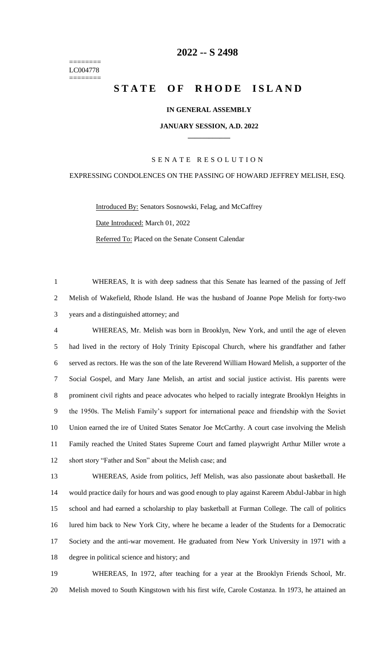======== LC004778 ========

# **-- S 2498**

# **STATE OF RHODE ISLAND**

# **IN GENERAL ASSEMBLY**

#### **JANUARY SESSION, A.D. 2022 \_\_\_\_\_\_\_\_\_\_\_\_**

# S E N A T E R E S O L U T I O N

# EXPRESSING CONDOLENCES ON THE PASSING OF HOWARD JEFFREY MELISH, ESQ.

Introduced By: Senators Sosnowski, Felag, and McCaffrey Date Introduced: March 01, 2022 Referred To: Placed on the Senate Consent Calendar

 WHEREAS, It is with deep sadness that this Senate has learned of the passing of Jeff Melish of Wakefield, Rhode Island. He was the husband of Joanne Pope Melish for forty-two years and a distinguished attorney; and

 WHEREAS, Mr. Melish was born in Brooklyn, New York, and until the age of eleven had lived in the rectory of Holy Trinity Episcopal Church, where his grandfather and father served as rectors. He was the son of the late Reverend William Howard Melish, a supporter of the Social Gospel, and Mary Jane Melish, an artist and social justice activist. His parents were prominent civil rights and peace advocates who helped to racially integrate Brooklyn Heights in the 1950s. The Melish Family's support for international peace and friendship with the Soviet Union earned the ire of United States Senator Joe McCarthy. A court case involving the Melish Family reached the United States Supreme Court and famed playwright Arthur Miller wrote a short story "Father and Son" about the Melish case; and

 WHEREAS, Aside from politics, Jeff Melish, was also passionate about basketball. He would practice daily for hours and was good enough to play against Kareem Abdul-Jabbar in high school and had earned a scholarship to play basketball at Furman College. The call of politics lured him back to New York City, where he became a leader of the Students for a Democratic Society and the anti-war movement. He graduated from New York University in 1971 with a degree in political science and history; and

 WHEREAS, In 1972, after teaching for a year at the Brooklyn Friends School, Mr. Melish moved to South Kingstown with his first wife, Carole Costanza. In 1973, he attained an